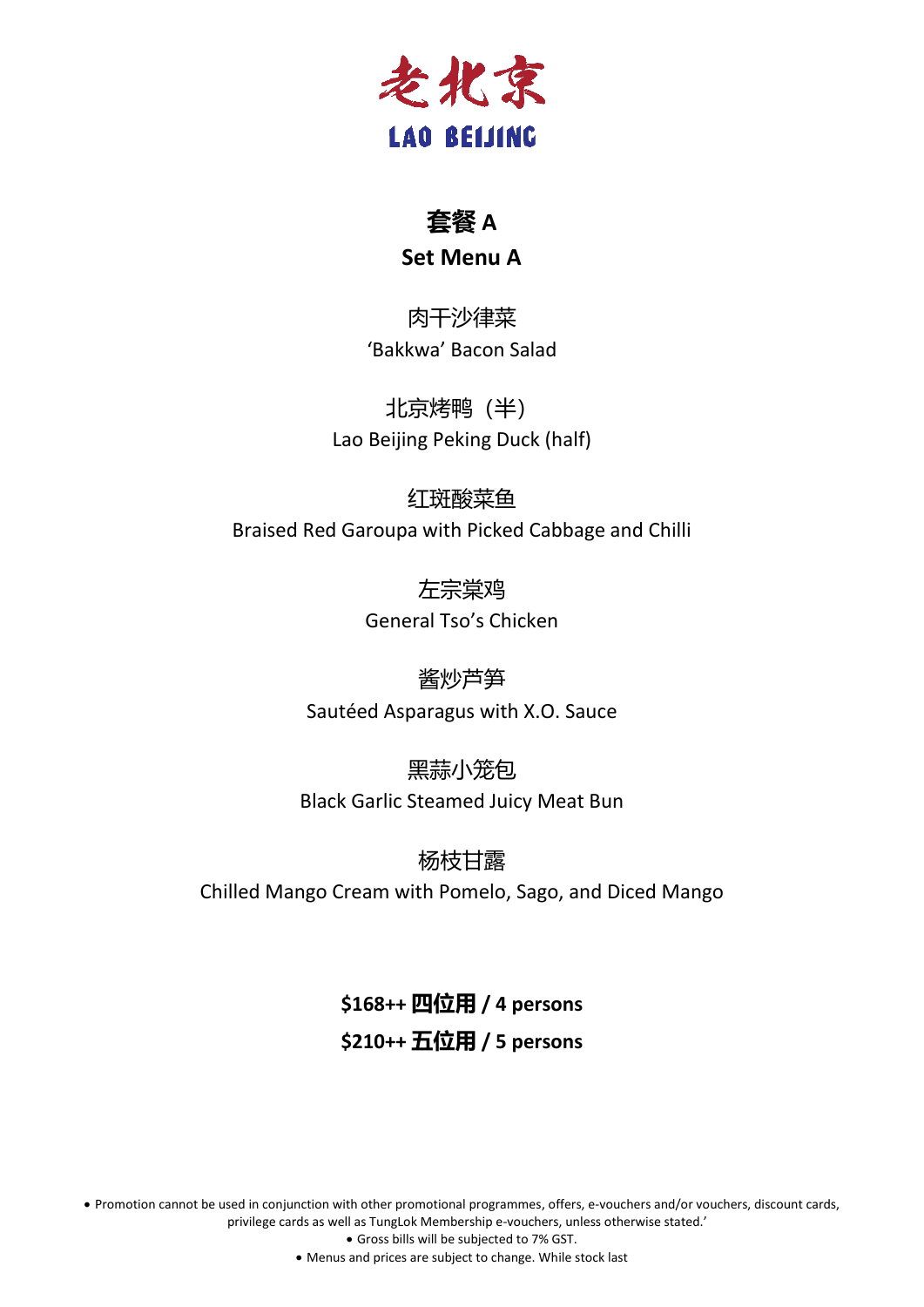

## **套餐 A**

#### **Set Menu A**

肉干沙律菜 'Bakkwa' Bacon Salad

北京烤鸭(半) Lao Beijing Peking Duck (half)

红斑酸菜鱼

Braised Red Garoupa with Picked Cabbage and Chilli

左宗棠鸡 General Tso's Chicken

酱炒芦笋 Sautéed Asparagus with X.O. Sauce

黑蒜小笼包 Black Garlic Steamed Juicy Meat Bun

杨枝甘露 Chilled Mango Cream with Pomelo, Sago, and Diced Mango

# **\$168++ 四位用 / 4 persons \$210++ 五位用 / 5 persons**

• Promotion cannot be used in conjunction with other promotional programmes, offers, e-vouchers and/or vouchers, discount cards, privilege cards as well as TungLok Membership e-vouchers, unless otherwise stated.'

• Gross bills will be subjected to 7% GST.

• Menus and prices are subject to change. While stock last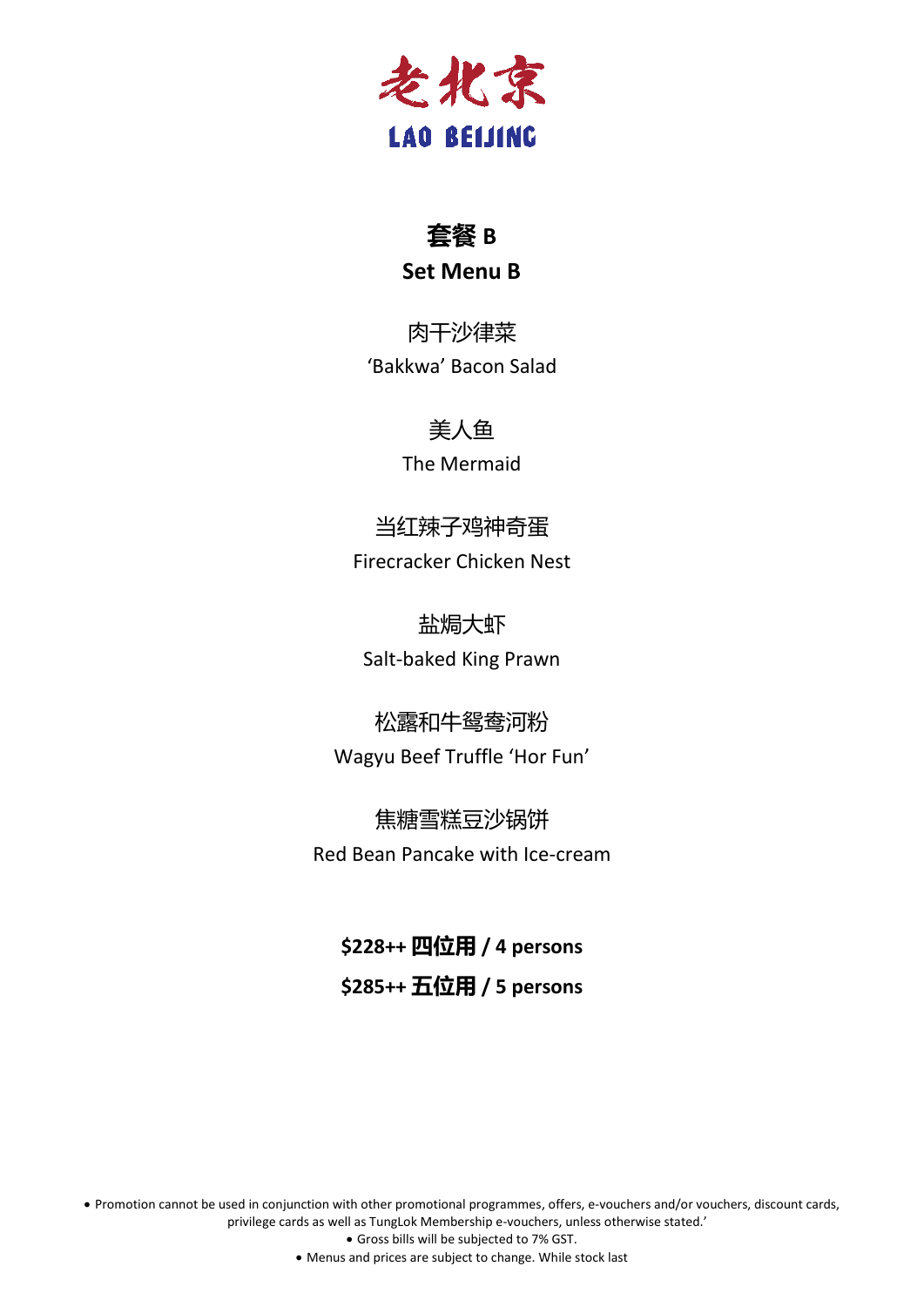

## **套餐 B Set Menu B**

肉干沙律菜 'Bakkwa' Bacon Salad

#### 美人鱼

The Mermaid

当红辣子鸡神奇蛋 Firecracker Chicken Nest

盐焗大虾 Salt-baked King Prawn

松露和牛鸳鸯河粉 Wagyu Beef Truffle 'Hor Fun'

焦糖雪糕豆沙锅饼 Red Bean Pancake with Ice-cream

**\$228++ 四位用 / 4 persons \$285++ 五位用 / 5 persons**

• Promotion cannot be used in conjunction with other promotional programmes, offers, e-vouchers and/or vouchers, discount cards, privilege cards as well as TungLok Membership e-vouchers, unless otherwise stated.'

• Gross bills will be subjected to 7% GST.

• Menus and prices are subject to change. While stock last